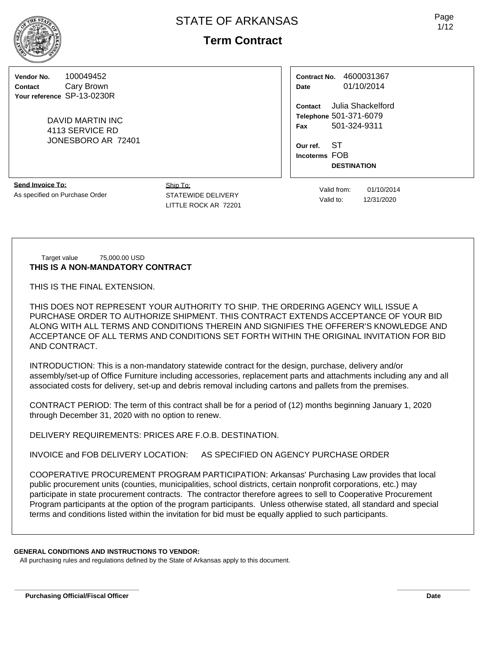**Vendor No.** 100049452 **Contact** Cary Brown **Your reference** SP-13-0230R

> DAVID MARTIN INC 4113 SERVICE RD JONESBORO AR 72401

| <b>Contract No.</b> | 4600031367 |  |  |  |  |
|---------------------|------------|--|--|--|--|
| Date                | 01/10/2014 |  |  |  |  |

**Contact** Julia Shackelford **Telephone** 501-371-6079 **Fax** 501-324-9311

**Our ref.** ST **Incoterms** FOB **DESTINATION**

**Send Invoice To:** As specified on Purchase Order

Ship To: STATEWIDE DELIVERY LITTLE ROCK AR 72201

Valid from: 01/10/2014 Valid to: 12/31/2020

### Target value 75,000.00 USD **THIS IS A NON-MANDATORY CONTRACT**

THIS IS THE FINAL EXTENSION.

THIS DOES NOT REPRESENT YOUR AUTHORITY TO SHIP. THE ORDERING AGENCY WILL ISSUE A PURCHASE ORDER TO AUTHORIZE SHIPMENT. THIS CONTRACT EXTENDS ACCEPTANCE OF YOUR BID ALONG WITH ALL TERMS AND CONDITIONS THEREIN AND SIGNIFIES THE OFFERER'S KNOWLEDGE AND ACCEPTANCE OF ALL TERMS AND CONDITIONS SET FORTH WITHIN THE ORIGINAL INVITATION FOR BID AND CONTRACT.

INTRODUCTION: This is a non-mandatory statewide contract for the design, purchase, delivery and/or assembly/set-up of Office Furniture including accessories, replacement parts and attachments including any and all associated costs for delivery, set-up and debris removal including cartons and pallets from the premises.

CONTRACT PERIOD: The term of this contract shall be for a period of (12) months beginning January 1, 2020 through December 31, 2020 with no option to renew.

DELIVERY REQUIREMENTS: PRICES ARE F.O.B. DESTINATION.

INVOICE and FOB DELIVERY LOCATION: AS SPECIFIED ON AGENCY PURCHASE ORDER

COOPERATIVE PROCUREMENT PROGRAM PARTICIPATION: Arkansas' Purchasing Law provides that local public procurement units (counties, municipalities, school districts, certain nonprofit corporations, etc.) may participate in state procurement contracts. The contractor therefore agrees to sell to Cooperative Procurement Program participants at the option of the program participants. Unless otherwise stated, all standard and special terms and conditions listed within the invitation for bid must be equally applied to such participants.

**\_\_\_\_\_\_\_\_\_\_\_\_\_\_\_\_\_\_\_\_\_\_\_\_\_\_\_\_\_\_\_\_\_\_ \_\_\_\_\_\_\_\_\_\_\_\_\_\_\_\_\_\_\_\_**

# **GENERAL CONDITIONS AND INSTRUCTIONS TO VENDOR:**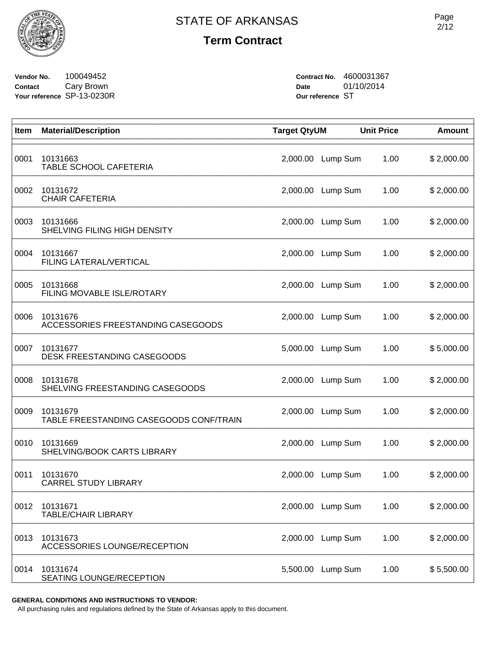

**Vendor No.** 100049452 **Contact** Cary Brown **Your reference** SP-13-0230R **Contract No.** 4600031367 **Date** 01/10/2014 **Our reference** ST

| Item | <b>Material/Description</b>                         | <b>Target QtyUM</b> |          | <b>Unit Price</b> | <b>Amount</b> |
|------|-----------------------------------------------------|---------------------|----------|-------------------|---------------|
| 0001 | 10131663<br>TABLE SCHOOL CAFETERIA                  | 2,000.00            | Lump Sum | 1.00              | \$2,000.00    |
| 0002 | 10131672<br><b>CHAIR CAFETERIA</b>                  | 2,000.00            | Lump Sum | 1.00              | \$2,000.00    |
| 0003 | 10131666<br>SHELVING FILING HIGH DENSITY            | 2,000.00            | Lump Sum | 1.00              | \$2,000.00    |
| 0004 | 10131667<br>FILING LATERAL/VERTICAL                 | 2,000.00            | Lump Sum | 1.00              | \$2,000.00    |
| 0005 | 10131668<br>FILING MOVABLE ISLE/ROTARY              | 2,000.00            | Lump Sum | 1.00              | \$2,000.00    |
| 0006 | 10131676<br>ACCESSORIES FREESTANDING CASEGOODS      | 2,000.00            | Lump Sum | 1.00              | \$2,000.00    |
| 0007 | 10131677<br>DESK FREESTANDING CASEGOODS             | 5,000.00            | Lump Sum | 1.00              | \$5,000.00    |
| 0008 | 10131678<br>SHELVING FREESTANDING CASEGOODS         | 2,000.00            | Lump Sum | 1.00              | \$2,000.00    |
| 0009 | 10131679<br>TABLE FREESTANDING CASEGOODS CONF/TRAIN | 2,000.00            | Lump Sum | 1.00              | \$2,000.00    |
| 0010 | 10131669<br>SHELVING/BOOK CARTS LIBRARY             | 2,000.00            | Lump Sum | 1.00              | \$2,000.00    |
| 0011 | 10131670<br><b>CARREL STUDY LIBRARY</b>             | 2,000.00            | Lump Sum | 1.00              | \$2,000.00    |
| 0012 | 10131671<br><b>TABLE/CHAIR LIBRARY</b>              | 2,000.00            | Lump Sum | 1.00              | \$2,000.00    |
| 0013 | 10131673<br>ACCESSORIES LOUNGE/RECEPTION            | 2,000.00            | Lump Sum | 1.00              | \$2,000.00    |
| 0014 | 10131674<br>SEATING LOUNGE/RECEPTION                | 5,500.00            | Lump Sum | 1.00              | \$5,500.00    |

**GENERAL CONDITIONS AND INSTRUCTIONS TO VENDOR:**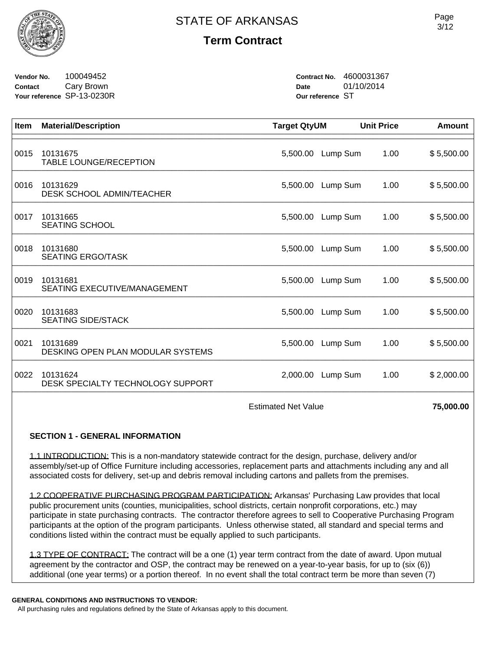

**Vendor No.** 100049452 **Contact** Cary Brown **Your reference** SP-13-0230R **Contract No.** 4600031367 **Date** 01/10/2014 **Our reference** ST

| <b>Item</b> | <b>Material/Description</b>                     | <b>Target QtyUM</b> |          | <b>Unit Price</b> | Amount     |
|-------------|-------------------------------------------------|---------------------|----------|-------------------|------------|
| 0015        | 10131675<br>TABLE LOUNGE/RECEPTION              | 5,500.00            | Lump Sum | 1.00              | \$5,500.00 |
| 0016        | 10131629<br>DESK SCHOOL ADMIN/TEACHER           | 5,500.00            | Lump Sum | 1.00              | \$5,500.00 |
| 0017        | 10131665<br><b>SEATING SCHOOL</b>               | 5,500.00            | Lump Sum | 1.00              | \$5,500.00 |
| 0018        | 10131680<br><b>SEATING ERGO/TASK</b>            | 5,500.00            | Lump Sum | 1.00              | \$5,500.00 |
| 0019        | 10131681<br><b>SEATING EXECUTIVE/MANAGEMENT</b> | 5,500.00            | Lump Sum | 1.00              | \$5,500.00 |
| 0020        | 10131683<br><b>SEATING SIDE/STACK</b>           | 5,500.00            | Lump Sum | 1.00              | \$5,500.00 |
| 0021        | 10131689<br>DESKING OPEN PLAN MODULAR SYSTEMS   | 5,500.00            | Lump Sum | 1.00              | \$5,500.00 |
| 0022        | 10131624<br>DESK SPECIALTY TECHNOLOGY SUPPORT   | 2,000.00            | Lump Sum | 1.00              | \$2,000.00 |
|             |                                                 |                     |          |                   |            |

Estimated Net Value **75,000.00** 

## **SECTION 1 - GENERAL INFORMATION**

1.1 INTRODUCTION: This is a non-mandatory statewide contract for the design, purchase, delivery and/or assembly/set-up of Office Furniture including accessories, replacement parts and attachments including any and all associated costs for delivery, set-up and debris removal including cartons and pallets from the premises.

1.2 COOPERATIVE PURCHASING PROGRAM PARTICIPATION: Arkansas' Purchasing Law provides that local public procurement units (counties, municipalities, school districts, certain nonprofit corporations, etc.) may participate in state purchasing contracts. The contractor therefore agrees to sell to Cooperative Purchasing Program participants at the option of the program participants. Unless otherwise stated, all standard and special terms and conditions listed within the contract must be equally applied to such participants.

1.3 TYPE OF CONTRACT: The contract will be a one (1) year term contract from the date of award. Upon mutual agreement by the contractor and OSP, the contract may be renewed on a year-to-year basis, for up to (six (6)) additional (one year terms) or a portion thereof. In no event shall the total contract term be more than seven (7)

#### **GENERAL CONDITIONS AND INSTRUCTIONS TO VENDOR:**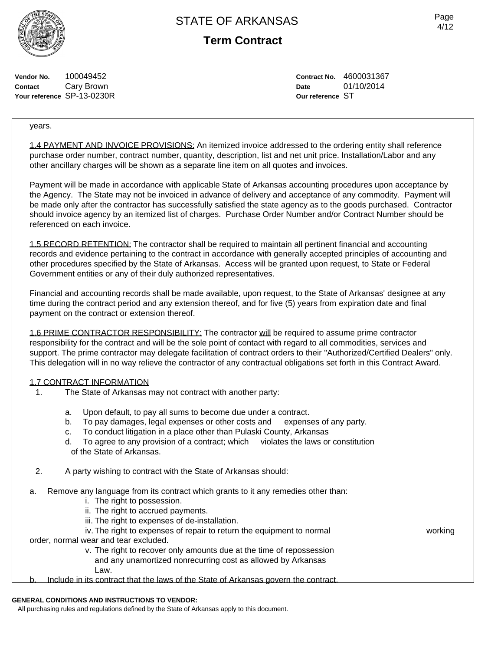Page 4/12

**Vendor No.** 100049452 **Contact** Cary Brown **Your reference** SP-13-0230R **Contract No.** 4600031367 **Date** 01/10/2014 **Our reference** ST

years.

1.4 PAYMENT AND INVOICE PROVISIONS: An itemized invoice addressed to the ordering entity shall reference purchase order number, contract number, quantity, description, list and net unit price. Installation/Labor and any other ancillary charges will be shown as a separate line item on all quotes and invoices.

Payment will be made in accordance with applicable State of Arkansas accounting procedures upon acceptance by the Agency. The State may not be invoiced in advance of delivery and acceptance of any commodity. Payment will be made only after the contractor has successfully satisfied the state agency as to the goods purchased. Contractor should invoice agency by an itemized list of charges. Purchase Order Number and/or Contract Number should be referenced on each invoice.

1.5 RECORD RETENTION: The contractor shall be required to maintain all pertinent financial and accounting records and evidence pertaining to the contract in accordance with generally accepted principles of accounting and other procedures specified by the State of Arkansas. Access will be granted upon request, to State or Federal Government entities or any of their duly authorized representatives.

Financial and accounting records shall be made available, upon request, to the State of Arkansas' designee at any time during the contract period and any extension thereof, and for five (5) years from expiration date and final payment on the contract or extension thereof.

1.6 PRIME CONTRACTOR RESPONSIBILITY: The contractor will be required to assume prime contractor responsibility for the contract and will be the sole point of contact with regard to all commodities, services and support. The prime contractor may delegate facilitation of contract orders to their "Authorized/Certified Dealers" only. This delegation will in no way relieve the contractor of any contractual obligations set forth in this Contract Award.

### 1.7 CONTRACT INFORMATION

- 1. The State of Arkansas may not contract with another party:
	-
	- a. Upon default, to pay all sums to become due under a contract.<br>b. To pay damages, legal expenses or other costs and expenses of any party. To pay damages, legal expenses or other costs and
	- c. To conduct litigation in a place other than Pulaski County, Arkansas
	- d. To agree to any provision of a contract; which violates the laws or constitution of the State of Arkansas.
- 2. A party wishing to contract with the State of Arkansas should:
- a. Remove any language from its contract which grants to it any remedies other than:
	- i. The right to possession.
	- ii. The right to accrued payments.
	- iii. The right to expenses of de-installation.
	- iv. The right to expenses of repair to return the equipment to normal working

order, normal wear and tear excluded.

- v. The right to recover only amounts due at the time of repossession and any unamortized nonrecurring cost as allowed by Arkansas Law.
- b. Include in its contract that the laws of the State of Arkansas govern the contract.

#### **GENERAL CONDITIONS AND INSTRUCTIONS TO VENDOR:**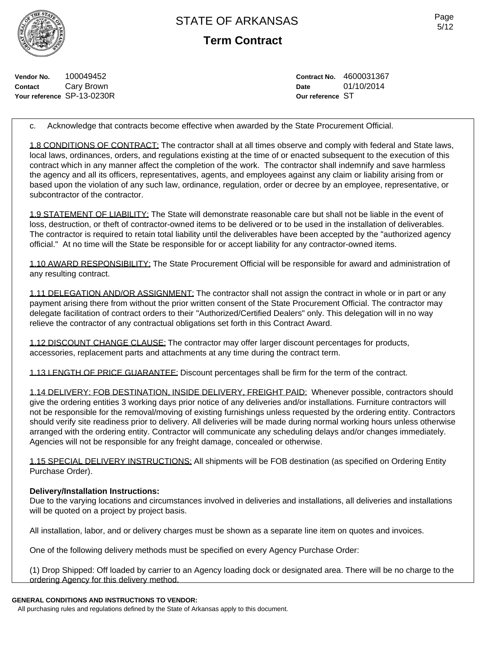**Term Contract**

**Vendor No.** 100049452 **Contact** Cary Brown **Your reference** SP-13-0230R **Contract No.** 4600031367 **Date** 01/10/2014 **Our reference** ST

c. Acknowledge that contracts become effective when awarded by the State Procurement Official.

1.8 CONDITIONS OF CONTRACT: The contractor shall at all times observe and comply with federal and State laws, local laws, ordinances, orders, and regulations existing at the time of or enacted subsequent to the execution of this contract which in any manner affect the completion of the work. The contractor shall indemnify and save harmless the agency and all its officers, representatives, agents, and employees against any claim or liability arising from or based upon the violation of any such law, ordinance, regulation, order or decree by an employee, representative, or subcontractor of the contractor.

1.9 STATEMENT OF LIABILITY: The State will demonstrate reasonable care but shall not be liable in the event of loss, destruction, or theft of contractor-owned items to be delivered or to be used in the installation of deliverables. The contractor is required to retain total liability until the deliverables have been accepted by the "authorized agency official." At no time will the State be responsible for or accept liability for any contractor-owned items.

1.10 AWARD RESPONSIBILITY: The State Procurement Official will be responsible for award and administration of any resulting contract.

1.11 DELEGATION AND/OR ASSIGNMENT: The contractor shall not assign the contract in whole or in part or any payment arising there from without the prior written consent of the State Procurement Official. The contractor may delegate facilitation of contract orders to their "Authorized/Certified Dealers" only. This delegation will in no way relieve the contractor of any contractual obligations set forth in this Contract Award.

1.12 DISCOUNT CHANGE CLAUSE: The contractor may offer larger discount percentages for products, accessories, replacement parts and attachments at any time during the contract term.

1.13 LENGTH OF PRICE GUARANTEE: Discount percentages shall be firm for the term of the contract.

1.14 DELIVERY: FOB DESTINATION, INSIDE DELIVERY, FREIGHT PAID: Whenever possible, contractors should give the ordering entities 3 working days prior notice of any deliveries and/or installations. Furniture contractors will not be responsible for the removal/moving of existing furnishings unless requested by the ordering entity. Contractors should verify site readiness prior to delivery. All deliveries will be made during normal working hours unless otherwise arranged with the ordering entity. Contractor will communicate any scheduling delays and/or changes immediately. Agencies will not be responsible for any freight damage, concealed or otherwise.

1.15 SPECIAL DELIVERY INSTRUCTIONS: All shipments will be FOB destination (as specified on Ordering Entity Purchase Order).

## **Delivery/Installation Instructions:**

Due to the varying locations and circumstances involved in deliveries and installations, all deliveries and installations will be quoted on a project by project basis.

All installation, labor, and or delivery charges must be shown as a separate line item on quotes and invoices.

One of the following delivery methods must be specified on every Agency Purchase Order:

(1) Drop Shipped: Off loaded by carrier to an Agency loading dock or designated area. There will be no charge to the ordering Agency for this delivery method.

### **GENERAL CONDITIONS AND INSTRUCTIONS TO VENDOR:**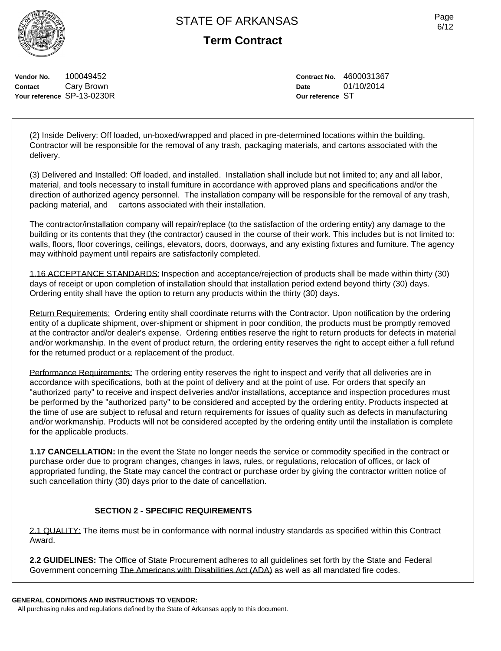**Vendor No.** 100049452 **Contact** Cary Brown **Your reference** SP-13-0230R

# **Term Contract**

**Contract No.** 4600031367 **Date** 01/10/2014 **Our reference** ST

(2) Inside Delivery: Off loaded, un-boxed/wrapped and placed in pre-determined locations within the building. Contractor will be responsible for the removal of any trash, packaging materials, and cartons associated with the delivery.

(3) Delivered and Installed: Off loaded, and installed. Installation shall include but not limited to; any and all labor, material, and tools necessary to install furniture in accordance with approved plans and specifications and/or the direction of authorized agency personnel. The installation company will be responsible for the removal of any trash, packing material, and cartons associated with their installation.

The contractor/installation company will repair/replace (to the satisfaction of the ordering entity) any damage to the building or its contents that they (the contractor) caused in the course of their work. This includes but is not limited to: walls, floors, floor coverings, ceilings, elevators, doors, doorways, and any existing fixtures and furniture. The agency may withhold payment until repairs are satisfactorily completed.

1.16 ACCEPTANCE STANDARDS: Inspection and acceptance/rejection of products shall be made within thirty (30) days of receipt or upon completion of installation should that installation period extend beyond thirty (30) days. Ordering entity shall have the option to return any products within the thirty (30) days.

Return Requirements: Ordering entity shall coordinate returns with the Contractor. Upon notification by the ordering entity of a duplicate shipment, over-shipment or shipment in poor condition, the products must be promptly removed at the contractor and/or dealer's expense. Ordering entities reserve the right to return products for defects in material and/or workmanship. In the event of product return, the ordering entity reserves the right to accept either a full refund for the returned product or a replacement of the product.

Performance Requirements: The ordering entity reserves the right to inspect and verify that all deliveries are in accordance with specifications, both at the point of delivery and at the point of use. For orders that specify an "authorized party" to receive and inspect deliveries and/or installations, acceptance and inspection procedures must be performed by the "authorized party" to be considered and accepted by the ordering entity. Products inspected at the time of use are subject to refusal and return requirements for issues of quality such as defects in manufacturing and/or workmanship. Products will not be considered accepted by the ordering entity until the installation is complete for the applicable products.

**1.17 CANCELLATION:** In the event the State no longer needs the service or commodity specified in the contract or purchase order due to program changes, changes in laws, rules, or regulations, relocation of offices, or lack of appropriated funding, the State may cancel the contract or purchase order by giving the contractor written notice of such cancellation thirty (30) days prior to the date of cancellation.

# **SECTION 2 - SPECIFIC REQUIREMENTS**

2.1 QUALITY: The items must be in conformance with normal industry standards as specified within this Contract Award.

**2.2 GUIDELINES:** The Office of State Procurement adheres to all guidelines set forth by the State and Federal Government concerning The Americans with Disabilities Act (ADA) as well as all mandated fire codes.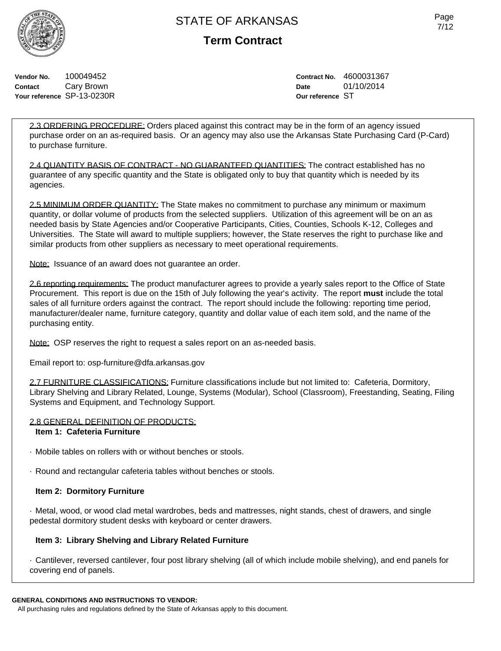

**Term Contract**

**Vendor No.** 100049452 **Contact** Cary Brown **Your reference** SP-13-0230R **Contract No.** 4600031367 **Date** 01/10/2014 **Our reference** ST

2.3 ORDERING PROCEDURE: Orders placed against this contract may be in the form of an agency issued purchase order on an as-required basis. Or an agency may also use the Arkansas State Purchasing Card (P-Card) to purchase furniture.

2.4 QUANTITY BASIS OF CONTRACT - NO GUARANTEED QUANTITIES: The contract established has no guarantee of any specific quantity and the State is obligated only to buy that quantity which is needed by its agencies.

2.5 MINIMUM ORDER QUANTITY: The State makes no commitment to purchase any minimum or maximum quantity, or dollar volume of products from the selected suppliers. Utilization of this agreement will be on an as needed basis by State Agencies and/or Cooperative Participants, Cities, Counties, Schools K-12, Colleges and Universities. The State will award to multiple suppliers; however, the State reserves the right to purchase like and similar products from other suppliers as necessary to meet operational requirements.

Note: Issuance of an award does not guarantee an order.

2.6 reporting requirements: The product manufacturer agrees to provide a yearly sales report to the Office of State Procurement. This report is due on the 15th of July following the year's activity. The report **must** include the total sales of all furniture orders against the contract. The report should include the following: reporting time period, manufacturer/dealer name, furniture category, quantity and dollar value of each item sold, and the name of the purchasing entity.

Note: OSP reserves the right to request a sales report on an as-needed basis.

Email report to: osp-furniture@dfa.arkansas.gov

2.7 FURNITURE CLASSIFICATIONS: Furniture classifications include but not limited to: Cafeteria, Dormitory, Library Shelving and Library Related, Lounge, Systems (Modular), School (Classroom), Freestanding, Seating, Filing Systems and Equipment, and Technology Support.

### 2.8 GENERAL DEFINITION OF PRODUCTS:

### **Item 1: Cafeteria Furniture**

- · Mobile tables on rollers with or without benches or stools.
- · Round and rectangular cafeteria tables without benches or stools.

## **Item 2: Dormitory Furniture**

· Metal, wood, or wood clad metal wardrobes, beds and mattresses, night stands, chest of drawers, and single pedestal dormitory student desks with keyboard or center drawers.

## **Item 3: Library Shelving and Library Related Furniture**

· Cantilever, reversed cantilever, four post library shelving (all of which include mobile shelving), and end panels for covering end of panels.

## **GENERAL CONDITIONS AND INSTRUCTIONS TO VENDOR:**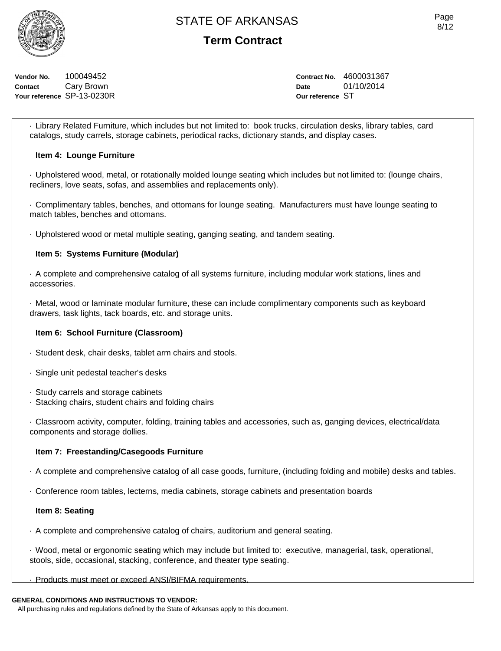

**Vendor No.** 100049452 **Contact** Cary Brown **Your reference** SP-13-0230R **Contract No.** 4600031367 **Date** 01/10/2014 **Our reference** ST

· Library Related Furniture, which includes but not limited to: book trucks, circulation desks, library tables, card catalogs, study carrels, storage cabinets, periodical racks, dictionary stands, and display cases.

## **Item 4: Lounge Furniture**

· Upholstered wood, metal, or rotationally molded lounge seating which includes but not limited to: (lounge chairs, recliners, love seats, sofas, and assemblies and replacements only).

· Complimentary tables, benches, and ottomans for lounge seating. Manufacturers must have lounge seating to match tables, benches and ottomans.

· Upholstered wood or metal multiple seating, ganging seating, and tandem seating.

## **Item 5: Systems Furniture (Modular)**

· A complete and comprehensive catalog of all systems furniture, including modular work stations, lines and accessories.

· Metal, wood or laminate modular furniture, these can include complimentary components such as keyboard drawers, task lights, tack boards, etc. and storage units.

### **Item 6: School Furniture (Classroom)**

- · Student desk, chair desks, tablet arm chairs and stools.
- · Single unit pedestal teacher's desks
- · Study carrels and storage cabinets
- · Stacking chairs, student chairs and folding chairs

· Classroom activity, computer, folding, training tables and accessories, such as, ganging devices, electrical/data components and storage dollies.

### **Item 7: Freestanding/Casegoods Furniture**

- · A complete and comprehensive catalog of all case goods, furniture, (including folding and mobile) desks and tables.
- · Conference room tables, lecterns, media cabinets, storage cabinets and presentation boards

### **Item 8: Seating**

· A complete and comprehensive catalog of chairs, auditorium and general seating.

· Wood, metal or ergonomic seating which may include but limited to: executive, managerial, task, operational, stools, side, occasional, stacking, conference, and theater type seating.

# · Products must meet or exceed ANSI/BIFMA requirements.

## **GENERAL CONDITIONS AND INSTRUCTIONS TO VENDOR:**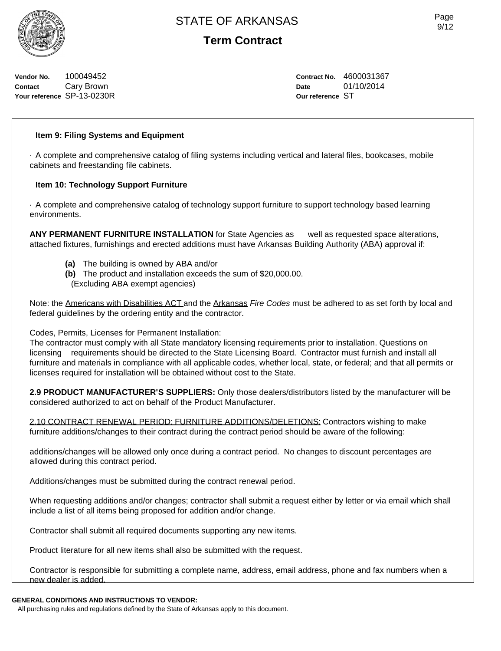**Vendor No.** 100049452 **Contact** Cary Brown **Your reference** SP-13-0230R **Term Contract**

**Contract No.** 4600031367 **Date** 01/10/2014 **Our reference** ST

# **Item 9: Filing Systems and Equipment**

· A complete and comprehensive catalog of filing systems including vertical and lateral files, bookcases, mobile cabinets and freestanding file cabinets.

# **Item 10: Technology Support Furniture**

· A complete and comprehensive catalog of technology support furniture to support technology based learning environments.

**ANY PERMANENT FURNITURE INSTALLATION** for State Agencies as well as requested space alterations, attached fixtures, furnishings and erected additions must have Arkansas Building Authority (ABA) approval if:

- **(a)** The building is owned by ABA and/or
- **(b)** The product and installation exceeds the sum of \$20,000.00.
- (Excluding ABA exempt agencies)

Note: the Americans with Disabilities ACT and the Arkansas *Fire Codes* must be adhered to as set forth by local and federal guidelines by the ordering entity and the contractor.

Codes, Permits, Licenses for Permanent Installation:

The contractor must comply with all State mandatory licensing requirements prior to installation. Questions on licensing requirements should be directed to the State Licensing Board. Contractor must furnish and install all furniture and materials in compliance with all applicable codes, whether local, state, or federal; and that all permits or licenses required for installation will be obtained without cost to the State.

**2.9 PRODUCT MANUFACTURER'S SUPPLIERS:** Only those dealers/distributors listed by the manufacturer will be considered authorized to act on behalf of the Product Manufacturer.

2.10 CONTRACT RENEWAL PERIOD: FURNITURE ADDITIONS/DELETIONS: Contractors wishing to make furniture additions/changes to their contract during the contract period should be aware of the following:

additions/changes will be allowed only once during a contract period. No changes to discount percentages are allowed during this contract period.

Additions/changes must be submitted during the contract renewal period.

When requesting additions and/or changes; contractor shall submit a request either by letter or via email which shall include a list of all items being proposed for addition and/or change.

Contractor shall submit all required documents supporting any new items.

Product literature for all new items shall also be submitted with the request.

Contractor is responsible for submitting a complete name, address, email address, phone and fax numbers when a new dealer is added.

# **GENERAL CONDITIONS AND INSTRUCTIONS TO VENDOR:**

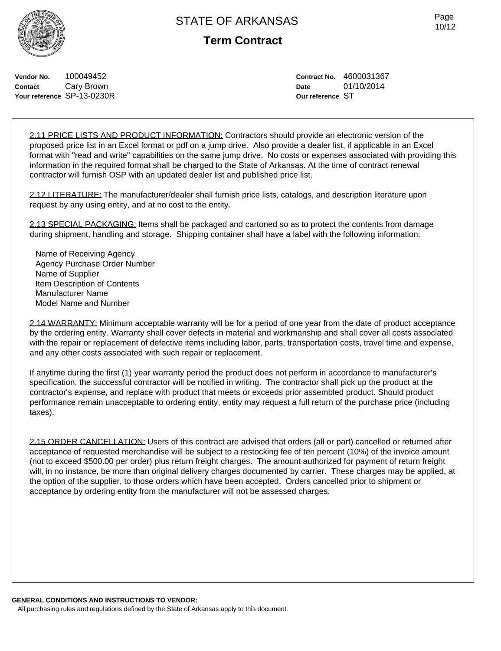Page 10/12

**Vendor No.** 100049452 **Contact** Cary Brown **Your reference** SP-13-0230R **Contract No.** 4600031367 **Date** 01/10/2014 **Our reference** ST

2.11 PRICE LISTS AND PRODUCT INFORMATION: Contractors should provide an electronic version of the proposed price list in an Excel format or pdf on a jump drive. Also provide a dealer list, if applicable in an Excel format with "read and write" capabilities on the same jump drive. No costs or expenses associated with providing this information in the required format shall be charged to the State of Arkansas. At the time of contract renewal contractor will furnish OSP with an updated dealer list and published price list.

2.12 LITERATURE: The manufacturer/dealer shall furnish price lists, catalogs, and description literature upon request by any using entity, and at no cost to the entity.

2.13 SPECIAL PACKAGING: Items shall be packaged and cartoned so as to protect the contents from damage during shipment, handling and storage. Shipping container shall have a label with the following information:

Name of Receiving Agency Agency Purchase Order Number Name of Supplier Item Description of Contents Manufacturer Name Model Name and Number

2.14 WARRANTY: Minimum acceptable warranty will be for a period of one year from the date of product acceptance by the ordering entity. Warranty shall cover defects in material and workmanship and shall cover all costs associated with the repair or replacement of defective items including labor, parts, transportation costs, travel time and expense, and any other costs associated with such repair or replacement.

If anytime during the first (1) year warranty period the product does not perform in accordance to manufacturer's specification, the successful contractor will be notified in writing. The contractor shall pick up the product at the contractor's expense, and replace with product that meets or exceeds prior assembled product. Should product performance remain unacceptable to ordering entity, entity may request a full return of the purchase price (including taxes).

2.15 ORDER CANCELLATION: Users of this contract are advised that orders (all or part) cancelled or returned after acceptance of requested merchandise will be subject to a restocking fee of ten percent (10%) of the invoice amount (not to exceed \$500.00 per order) plus return freight charges. The amount authorized for payment of return freight will, in no instance, be more than original delivery charges documented by carrier. These charges may be applied, at the option of the supplier, to those orders which have been accepted. Orders cancelled prior to shipment or acceptance by ordering entity from the manufacturer will not be assessed charges.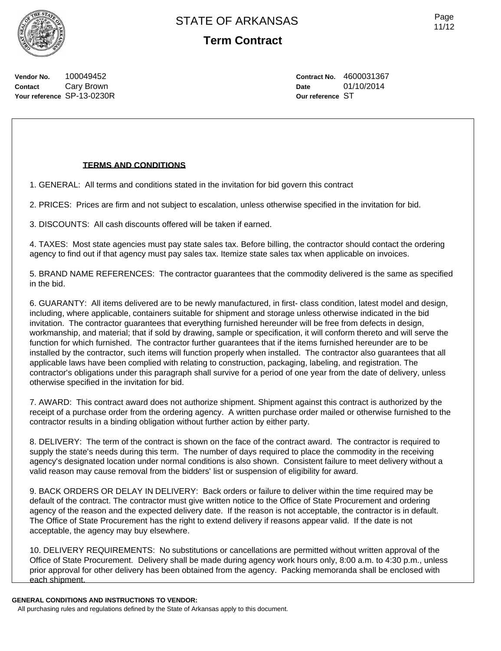**Vendor No.** 100049452 **Contact** Cary Brown **Your reference** SP-13-0230R **Contract No.** 4600031367 **Date** 01/10/2014

**Our reference** ST

### **TERMS AND CONDITIONS**

1. GENERAL: All terms and conditions stated in the invitation for bid govern this contract

2. PRICES: Prices are firm and not subject to escalation, unless otherwise specified in the invitation for bid.

3. DISCOUNTS: All cash discounts offered will be taken if earned.

4. TAXES: Most state agencies must pay state sales tax. Before billing, the contractor should contact the ordering agency to find out if that agency must pay sales tax. Itemize state sales tax when applicable on invoices.

5. BRAND NAME REFERENCES: The contractor guarantees that the commodity delivered is the same as specified in the bid.

6. GUARANTY: All items delivered are to be newly manufactured, in first- class condition, latest model and design, including, where applicable, containers suitable for shipment and storage unless otherwise indicated in the bid invitation. The contractor guarantees that everything furnished hereunder will be free from defects in design, workmanship, and material; that if sold by drawing, sample or specification, it will conform thereto and will serve the function for which furnished. The contractor further guarantees that if the items furnished hereunder are to be installed by the contractor, such items will function properly when installed. The contractor also guarantees that all applicable laws have been complied with relating to construction, packaging, labeling, and registration. The contractor's obligations under this paragraph shall survive for a period of one year from the date of delivery, unless otherwise specified in the invitation for bid.

7. AWARD: This contract award does not authorize shipment. Shipment against this contract is authorized by the receipt of a purchase order from the ordering agency. A written purchase order mailed or otherwise furnished to the contractor results in a binding obligation without further action by either party.

8. DELIVERY: The term of the contract is shown on the face of the contract award. The contractor is required to supply the state's needs during this term. The number of days required to place the commodity in the receiving agency's designated location under normal conditions is also shown. Consistent failure to meet delivery without a valid reason may cause removal from the bidders' list or suspension of eligibility for award.

9. BACK ORDERS OR DELAY IN DELIVERY: Back orders or failure to deliver within the time required may be default of the contract. The contractor must give written notice to the Office of State Procurement and ordering agency of the reason and the expected delivery date. If the reason is not acceptable, the contractor is in default. The Office of State Procurement has the right to extend delivery if reasons appear valid. If the date is not acceptable, the agency may buy elsewhere.

10. DELIVERY REQUIREMENTS: No substitutions or cancellations are permitted without written approval of the Office of State Procurement. Delivery shall be made during agency work hours only, 8:00 a.m. to 4:30 p.m., unless prior approval for other delivery has been obtained from the agency. Packing memoranda shall be enclosed with each shipment.

#### **GENERAL CONDITIONS AND INSTRUCTIONS TO VENDOR:**